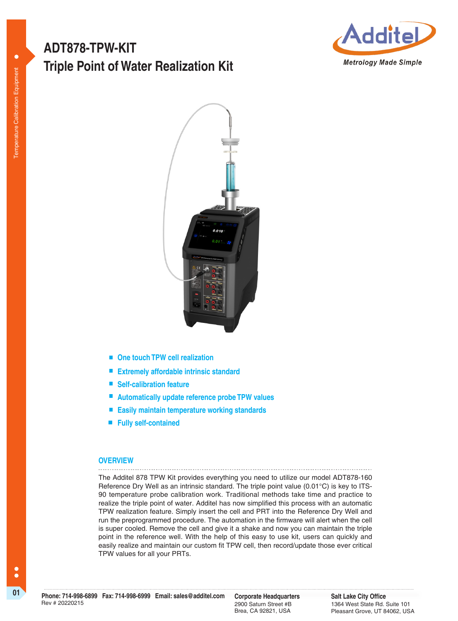# **Triple Point of Water Realization Kit ADT878-TPW-KIT**





- One touch TPW cell realization
- **Extremely affordable intrinsic standard**
- Self-calibration feature
- **Automatically update reference probe TPW values**
- **Easily maintain temperature working standards**
- **Fully self-contained**

#### **OVERVIEW** \_\_\_\_\_\_\_\_\_\_\_\_\_\_\_\_

The Additel 878 TPW Kit provides everything you need to utilize our model ADT878-160 Reference Dry Well as an intrinsic standard. The triple point value (0.01°C) is key to ITS-90 temperature probe calibration work. Traditional methods take time and practice to realize the triple point of water. Additel has now simplified this process with an automatic TPW realization feature. Simply insert the cell and PRT into the Reference Dry Well and run the preprogrammed procedure. The automation in the firmware will alert when the cell is super cooled. Remove the cell and give it a shake and now you can maintain the triple point in the reference well. With the help of this easy to use kit, users can quickly and easily realize and maintain our custom fit TPW cell, then record/update those ever critical TPW values for all your PRTs.

2900 Saturn Street #B Brea, CA 92821, USA